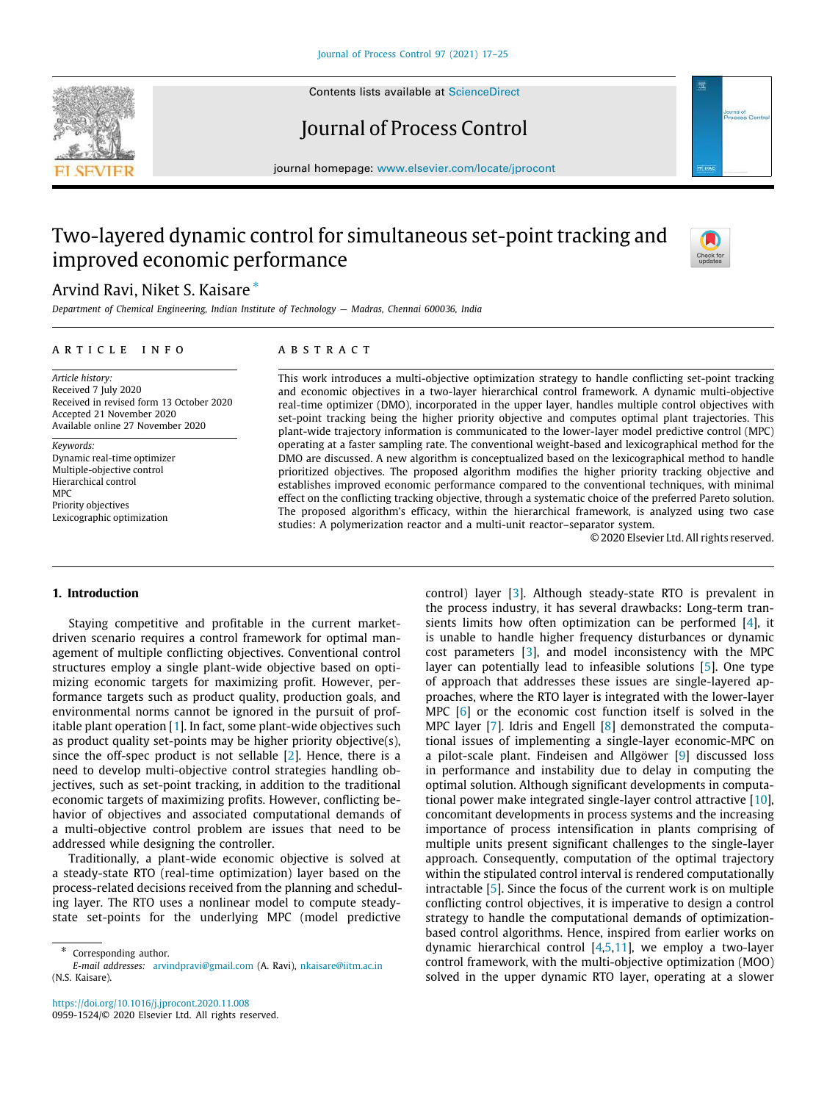

Contents lists available at [ScienceDirect](http://www.elsevier.com/locate/jprocont)

# Journal of Process Control

journal homepage: [www.elsevier.com/locate/jprocont](http://www.elsevier.com/locate/jprocont)

# Two-layered dynamic control for simultaneous set-point tracking and improved economic performance



Arvind Ravi, Niket S. Kaisare [∗](#page-0-0)

*Department of Chemical Engineering, Indian Institute of Technology — Madras, Chennai 600036, India*

### a r t i c l e i n f o

*Article history:* Received 7 July 2020 Received in revised form 13 October 2020 Accepted 21 November 2020 Available online 27 November 2020

*Keywords:* Dynamic real-time optimizer Multiple-objective control Hierarchical control MPC Priority objectives Lexicographic optimization

# A B S T R A C T

This work introduces a multi-objective optimization strategy to handle conflicting set-point tracking and economic objectives in a two-layer hierarchical control framework. A dynamic multi-objective real-time optimizer (DMO), incorporated in the upper layer, handles multiple control objectives with set-point tracking being the higher priority objective and computes optimal plant trajectories. This plant-wide trajectory information is communicated to the lower-layer model predictive control (MPC) operating at a faster sampling rate. The conventional weight-based and lexicographical method for the DMO are discussed. A new algorithm is conceptualized based on the lexicographical method to handle prioritized objectives. The proposed algorithm modifies the higher priority tracking objective and establishes improved economic performance compared to the conventional techniques, with minimal effect on the conflicting tracking objective, through a systematic choice of the preferred Pareto solution. The proposed algorithm's efficacy, within the hierarchical framework, is analyzed using two case studies: A polymerization reactor and a multi-unit reactor–separator system.

© 2020 Elsevier Ltd. All rights reserved.

# **1. Introduction**

Staying competitive and profitable in the current marketdriven scenario requires a control framework for optimal management of multiple conflicting objectives. Conventional control structures employ a single plant-wide objective based on optimizing economic targets for maximizing profit. However, performance targets such as product quality, production goals, and environmental norms cannot be ignored in the pursuit of profitable plant operation[[1\]](#page-8-0). In fact, some plant-wide objectives such as product quality set-points may be higher priority objective(s), since the off-spec product is not sellable [\[2](#page-8-1)]. Hence, there is a need to develop multi-objective control strategies handling objectives, such as set-point tracking, in addition to the traditional economic targets of maximizing profits. However, conflicting behavior of objectives and associated computational demands of a multi-objective control problem are issues that need to be addressed while designing the controller.

Traditionally, a plant-wide economic objective is solved at a steady-state RTO (real-time optimization) layer based on the process-related decisions received from the planning and scheduling layer. The RTO uses a nonlinear model to compute steadystate set-points for the underlying MPC (model predictive

<https://doi.org/10.1016/j.jprocont.2020.11.008> 0959-1524/© 2020 Elsevier Ltd. All rights reserved. control) layer [\[3](#page-8-2)]. Although steady-state RTO is prevalent in the process industry, it has several drawbacks: Long-term transients limits how often optimization can be performed[[4\]](#page-8-3), it is unable to handle higher frequency disturbances or dynamic cost parameters[[3\]](#page-8-2), and model inconsistency with the MPC layer can potentially lead to infeasible solutions [\[5](#page-8-4)]. One type of approach that addresses these issues are single-layered approaches, where the RTO layer is integrated with the lower-layer MPC [\[6](#page-8-5)] or the economic cost function itself is solved in the MPC layer [\[7](#page-8-6)].Idris and Engell [[8\]](#page-8-7) demonstrated the computational issues of implementing a single-layer economic-MPC on a pilot-scale plant. Findeisen and Allgöwer [\[9\]](#page-8-8) discussed loss in performance and instability due to delay in computing the optimal solution. Although significant developments in computational power make integrated single-layer control attractive [\[10\]](#page-8-9), concomitant developments in process systems and the increasing importance of process intensification in plants comprising of multiple units present significant challenges to the single-layer approach. Consequently, computation of the optimal trajectory within the stipulated control interval is rendered computationally intractable [\[5](#page-8-4)]. Since the focus of the current work is on multiple conflicting control objectives, it is imperative to design a control strategy to handle the computational demands of optimizationbased control algorithms. Hence, inspired from earlier works on dynamic hierarchical control  $[4,5,11]$  $[4,5,11]$  $[4,5,11]$  $[4,5,11]$ , we employ a two-layer control framework, with the multi-objective optimization (MOO) solved in the upper dynamic RTO layer, operating at a slower

<span id="page-0-0"></span><sup>∗</sup> Corresponding author.

*E-mail addresses:* [arvindpravi@gmail.com](mailto:arvindpravi@gmail.com) (A. Ravi), [nkaisare@iitm.ac.in](mailto:nkaisare@iitm.ac.in) (N.S. Kaisare).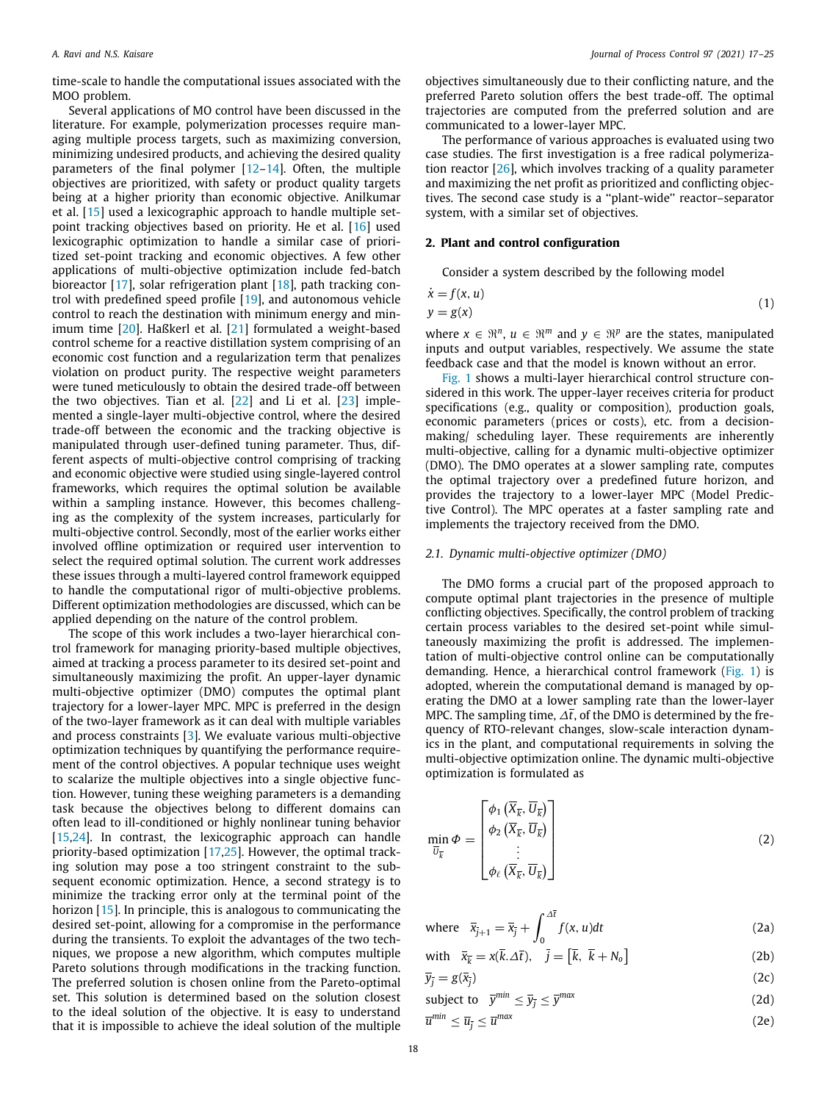time-scale to handle the computational issues associated with the MOO problem.

Several applications of MO control have been discussed in the literature. For example, polymerization processes require managing multiple process targets, such as maximizing conversion, minimizing undesired products, and achieving the desired quality parameters of the final polymer  $[12-14]$  $[12-14]$  $[12-14]$ . Often, the multiple objectives are prioritized, with safety or product quality targets being at a higher priority than economic objective. Anilkumar et al.[[15](#page-8-13)] used a lexicographic approach to handle multiple setpoint tracking objectives based on priority. He et al. [\[16\]](#page-8-14) used lexicographic optimization to handle a similar case of prioritized set-point tracking and economic objectives. A few other applications of multi-objective optimization include fed-batch bioreactor[[17](#page-8-15)], solar refrigeration plant [\[18\]](#page-8-16), path tracking control with predefined speed profile[[19\]](#page-8-17), and autonomous vehicle control to reach the destination with minimum energy and minimum time [\[20\]](#page-8-18). Haßkerl et al. [\[21](#page-8-19)] formulated a weight-based control scheme for a reactive distillation system comprising of an economic cost function and a regularization term that penalizes violation on product purity. The respective weight parameters were tuned meticulously to obtain the desired trade-off between the two objectives. Tian et al.[[22](#page-8-20)] and Li et al.[[23\]](#page-8-21) implemented a single-layer multi-objective control, where the desired trade-off between the economic and the tracking objective is manipulated through user-defined tuning parameter. Thus, different aspects of multi-objective control comprising of tracking and economic objective were studied using single-layered control frameworks, which requires the optimal solution be available within a sampling instance. However, this becomes challenging as the complexity of the system increases, particularly for multi-objective control. Secondly, most of the earlier works either involved offline optimization or required user intervention to select the required optimal solution. The current work addresses these issues through a multi-layered control framework equipped to handle the computational rigor of multi-objective problems. Different optimization methodologies are discussed, which can be applied depending on the nature of the control problem.

The scope of this work includes a two-layer hierarchical control framework for managing priority-based multiple objectives, aimed at tracking a process parameter to its desired set-point and simultaneously maximizing the profit. An upper-layer dynamic multi-objective optimizer (DMO) computes the optimal plant trajectory for a lower-layer MPC. MPC is preferred in the design of the two-layer framework as it can deal with multiple variables and process constraints[[3\]](#page-8-2). We evaluate various multi-objective optimization techniques by quantifying the performance requirement of the control objectives. A popular technique uses weight to scalarize the multiple objectives into a single objective function. However, tuning these weighing parameters is a demanding task because the objectives belong to different domains can often lead to ill-conditioned or highly nonlinear tuning behavior [[15](#page-8-13)[,24\]](#page-8-22). In contrast, the lexicographic approach can handle priority-based optimization[[17](#page-8-15)[,25](#page-8-23)]. However, the optimal tracking solution may pose a too stringent constraint to the subsequent economic optimization. Hence, a second strategy is to minimize the tracking error only at the terminal point of the horizon [\[15](#page-8-13)]. In principle, this is analogous to communicating the desired set-point, allowing for a compromise in the performance during the transients. To exploit the advantages of the two techniques, we propose a new algorithm, which computes multiple Pareto solutions through modifications in the tracking function. The preferred solution is chosen online from the Pareto-optimal set. This solution is determined based on the solution closest to the ideal solution of the objective. It is easy to understand that it is impossible to achieve the ideal solution of the multiple

objectives simultaneously due to their conflicting nature, and the preferred Pareto solution offers the best trade-off. The optimal trajectories are computed from the preferred solution and are communicated to a lower-layer MPC.

The performance of various approaches is evaluated using two case studies. The first investigation is a free radical polymerization reactor[[26](#page-8-24)], which involves tracking of a quality parameter and maximizing the net profit as prioritized and conflicting objectives. The second case study is a ''plant-wide'' reactor–separator system, with a similar set of objectives.

# **2. Plant and control configuration**

Consider a system described by the following model

$$
\begin{aligned} \n\dot{x} &= f(x, u) \\ \ny &= g(x) \tag{1} \n\end{aligned}
$$

where  $x \in \mathbb{R}^n$ ,  $u \in \mathbb{R}^m$  and  $y \in \mathbb{R}^p$  are the states, manipulated inputs and output variables, respectively. We assume the state feedback case and that the model is known without an error.

[Fig. 1](#page-2-0) shows a multi-layer hierarchical control structure considered in this work. The upper-layer receives criteria for product specifications (e.g., quality or composition), production goals, economic parameters (prices or costs), etc. from a decisionmaking/ scheduling layer. These requirements are inherently multi-objective, calling for a dynamic multi-objective optimizer (DMO). The DMO operates at a slower sampling rate, computes the optimal trajectory over a predefined future horizon, and provides the trajectory to a lower-layer MPC (Model Predictive Control). The MPC operates at a faster sampling rate and implements the trajectory received from the DMO.

#### *2.1. Dynamic multi-objective optimizer (DMO)*

The DMO forms a crucial part of the proposed approach to compute optimal plant trajectories in the presence of multiple conflicting objectives. Specifically, the control problem of tracking certain process variables to the desired set-point while simultaneously maximizing the profit is addressed. The implementation of multi-objective control online can be computationally demanding. Hence, a hierarchical control framework([Fig. 1\)](#page-2-0) is adopted, wherein the computational demand is managed by operating the DMO at a lower sampling rate than the lower-layer MPC. The sampling time,  $\Delta t$ , of the DMO is determined by the frequency of RTO-relevant changes, slow-scale interaction dynamics in the plant, and computational requirements in solving the multi-objective optimization online. The dynamic multi-objective optimization is formulated as

$$
\min_{\overline{U}_{\overline{k}}} \Phi = \begin{bmatrix} \phi_1\left(\overline{X}_{\overline{k}}, \overline{U}_{\overline{k}}\right) \\ \phi_2\left(\overline{X}_{\overline{k}}, \overline{U}_{\overline{k}}\right) \\ \vdots \\ \phi_\ell\left(\overline{X}_{\overline{k}}, \overline{U}_{\overline{k}}\right) \end{bmatrix}
$$
(2)

where 
$$
\bar{x}_{\bar{j}+1} = \bar{x}_{\bar{j}} + \int_0^{\Delta \bar{t}} f(x, u) dt
$$
 (2a)

<span id="page-1-1"></span><span id="page-1-0"></span>with 
$$
\bar{x}_{\bar{k}} = x(\bar{k}.\Delta \bar{t}), \quad \bar{j} = [\bar{k}, \ \bar{k} + N_o]
$$
 (2b)

 $\bar{y}_{\bar{i}} = g(\bar{x}_{\bar{i}})$  $\left(2c\right)$ 

<span id="page-1-3"></span>subject to 
$$
\bar{y}^{min} \le \bar{y}_{\bar{j}} \le \bar{y}^{max}
$$
 (2d)

<span id="page-1-2"></span>
$$
\overline{u}^{min} \le \overline{u}_{\overline{j}} \le \overline{u}^{max} \tag{2e}
$$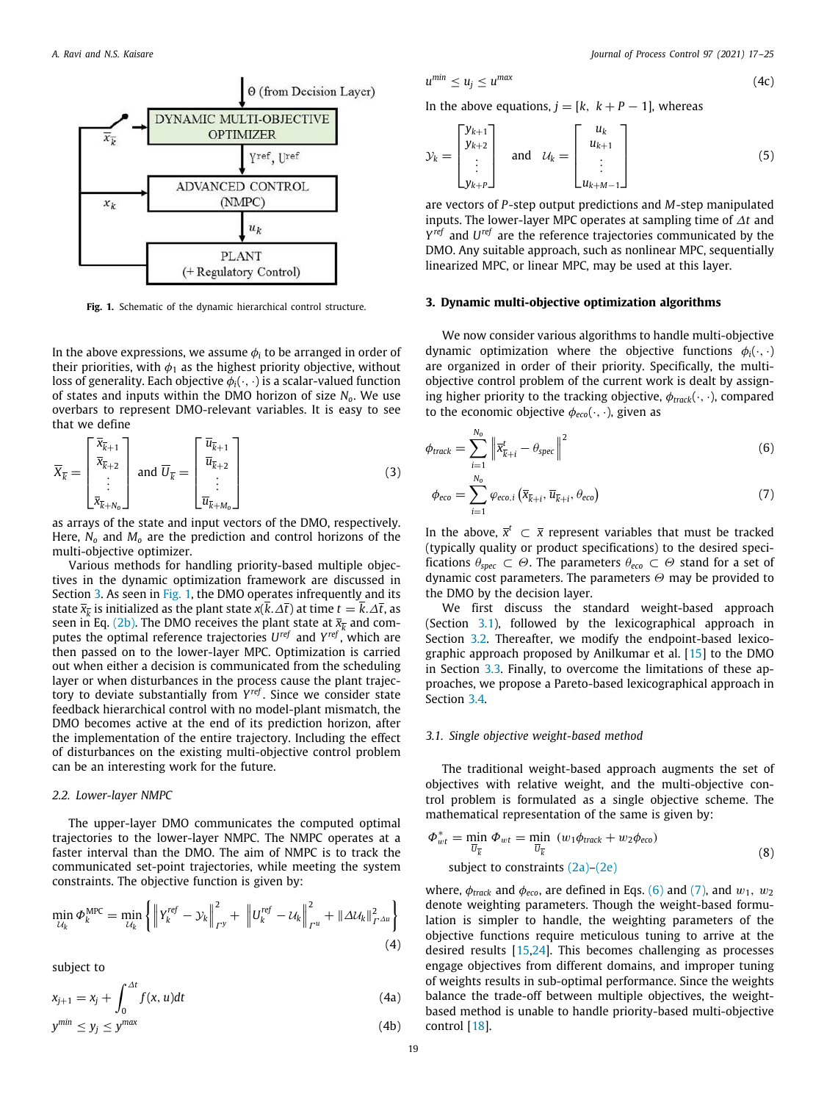

<span id="page-2-0"></span>Fig. 1. Schematic of the dynamic hierarchical control structure.

In the above expressions, we assume  $\phi_i$  to be arranged in order of their priorities, with  $\phi_1$  as the highest priority objective, without loss of generality. Each objective  $\phi_i(\cdot, \cdot)$  is a scalar-valued function of states and inputs within the DMO horizon of size *No*. We use overbars to represent DMO-relevant variables. It is easy to see that we define

$$
\overline{X}_{\overline{k}} = \begin{bmatrix} \overline{x}_{\overline{k}+1} \\ \overline{x}_{\overline{k}+2} \\ \vdots \\ \overline{x}_{\overline{k}+N_o} \end{bmatrix} \text{ and } \overline{U}_{\overline{k}} = \begin{bmatrix} \overline{u}_{\overline{k}+1} \\ \overline{u}_{\overline{k}+2} \\ \vdots \\ \overline{u}_{\overline{k}+M_o} \end{bmatrix}
$$
(3)

as arrays of the state and input vectors of the DMO, respectively. Here, *N<sup>o</sup>* and *M<sup>o</sup>* are the prediction and control horizons of the multi-objective optimizer.

Various methods for handling priority-based multiple objectives in the dynamic optimization framework are discussed in Section [3.](#page-2-1) As seen in [Fig. 1,](#page-2-0) the DMO operates infrequently and its state  $\bar{x}_{\overline{k}}$  is initialized as the plant state  $x(k.\Delta \bar{t})$  at time  $t = k.\Delta \bar{t}$ , as seen in Eq. ([2b](#page-1-0)). The DMO receives the plant state at  $\bar{x}_{\overline{k}}$  and computes the optimal reference trajectories *U ref* and *Y ref* , which are then passed on to the lower-layer MPC. Optimization is carried out when either a decision is communicated from the scheduling layer or when disturbances in the process cause the plant trajectory to deviate substantially from *Y ref* . Since we consider state feedback hierarchical control with no model-plant mismatch, the DMO becomes active at the end of its prediction horizon, after the implementation of the entire trajectory. Including the effect of disturbances on the existing multi-objective control problem can be an interesting work for the future.

#### *2.2. Lower-layer NMPC*

The upper-layer DMO communicates the computed optimal trajectories to the lower-layer NMPC. The NMPC operates at a faster interval than the DMO. The aim of NMPC is to track the communicated set-point trajectories, while meeting the system constraints. The objective function is given by:

$$
\min_{\mathcal{U}_{k}} \Phi_{k}^{\text{MPC}} = \min_{\mathcal{U}_{k}} \left\{ \left\| Y_{k}^{ref} - \mathcal{Y}_{k} \right\|_{\Gamma^{y}}^{2} + \left\| U_{k}^{ref} - \mathcal{U}_{k} \right\|_{\Gamma^{u}}^{2} + \left\| \Delta \mathcal{U}_{k} \right\|_{\Gamma^{\Delta u}}^{2} \right\}
$$
\n(4)

subject to

$$
x_{j+1} = x_j + \int_0^{\Delta t} f(x, u) dt
$$
 (4a)

$$
y^{min} \le y_j \le y^{max} \tag{4b}
$$

$$
u^{min} \le u_j \le u^{max} \tag{4c}
$$

In the above equations,  $j = [k, k + P - 1]$ , whereas

$$
\mathcal{Y}_k = \begin{bmatrix} \mathcal{Y}_{k+1} \\ \mathcal{Y}_{k+2} \\ \vdots \\ \mathcal{Y}_{k+P} \end{bmatrix} \quad \text{and} \quad \mathcal{U}_k = \begin{bmatrix} u_k \\ u_{k+1} \\ \vdots \\ u_{k+M-1} \end{bmatrix} \tag{5}
$$

are vectors of *P*-step output predictions and *M*-step manipulated inputs. The lower-layer MPC operates at sampling time of ∆*t* and *Y ref* and *U ref* are the reference trajectories communicated by the DMO. Any suitable approach, such as nonlinear MPC, sequentially linearized MPC, or linear MPC, may be used at this layer.

# **3. Dynamic multi-objective optimization algorithms**

<span id="page-2-1"></span>We now consider various algorithms to handle multi-objective dynamic optimization where the objective functions  $\phi_i(\cdot, \cdot)$ are organized in order of their priority. Specifically, the multiobjective control problem of the current work is dealt by assigning higher priority to the tracking objective, φ*track*(·, ·), compared to the economic objective  $\phi_{\text{eco}}(\cdot, \cdot)$ , given as

$$
\phi_{\text{track}} = \sum_{i=1}^{N_0} \left\| \overline{x}_{\overline{k}+i}^t - \theta_{\text{spec}} \right\|^2 \tag{6}
$$

<span id="page-2-4"></span><span id="page-2-3"></span>
$$
\phi_{eco} = \sum_{i=1}^{N_o} \varphi_{eco,i} \left( \overline{x}_{\overline{k}+i}, \overline{u}_{\overline{k}+i}, \theta_{eco} \right) \tag{7}
$$

In the above,  $\bar{x}^t$  ⊂  $\bar{x}$  represent variables that must be tracked (typically quality or product specifications) to the desired specifications  $\theta_{\text{spec}} \subset \Theta$ . The parameters  $\theta_{\text{eco}} \subset \Theta$  stand for a set of dynamic cost parameters. The parameters  $\Theta$  may be provided to the DMO by the decision layer.

We first discuss the standard weight-based approach (Section [3.1\)](#page-2-2), followed by the lexicographical approach in Section [3.2.](#page-3-0) Thereafter, we modify the endpoint-based lexicographic approach proposed by Anilkumar et al. [\[15\]](#page-8-13) to the DMO in Section [3.3.](#page-3-1) Finally, to overcome the limitations of these approaches, we propose a Pareto-based lexicographical approach in Section [3.4.](#page-3-2)

# *3.1. Single objective weight-based method*

<span id="page-2-2"></span>The traditional weight-based approach augments the set of objectives with relative weight, and the multi-objective control problem is formulated as a single objective scheme. The mathematical representation of the same is given by:

$$
\Phi_{wt}^* = \min_{\overline{U}_{\overline{k}}} \Phi_{wt} = \min_{\overline{U}_{\overline{k}}} (w_1 \phi_{track} + w_2 \phi_{eco})
$$
  
subject to constraints (2a)-(2e) (8)

where,  $\phi_{\text{track}}$  and  $\phi_{\text{eco}}$ , are defined in Eqs. [\(6\)](#page-2-3) and ([7](#page-2-4)), and  $w_1$ ,  $w_2$ denote weighting parameters. Though the weight-based formulation is simpler to handle, the weighting parameters of the objective functions require meticulous tuning to arrive at the desired results[[15,](#page-8-13)[24](#page-8-22)]. This becomes challenging as processes engage objectives from different domains, and improper tuning of weights results in sub-optimal performance. Since the weights balance the trade-off between multiple objectives, the weightbased method is unable to handle priority-based multi-objective control[[18](#page-8-16)].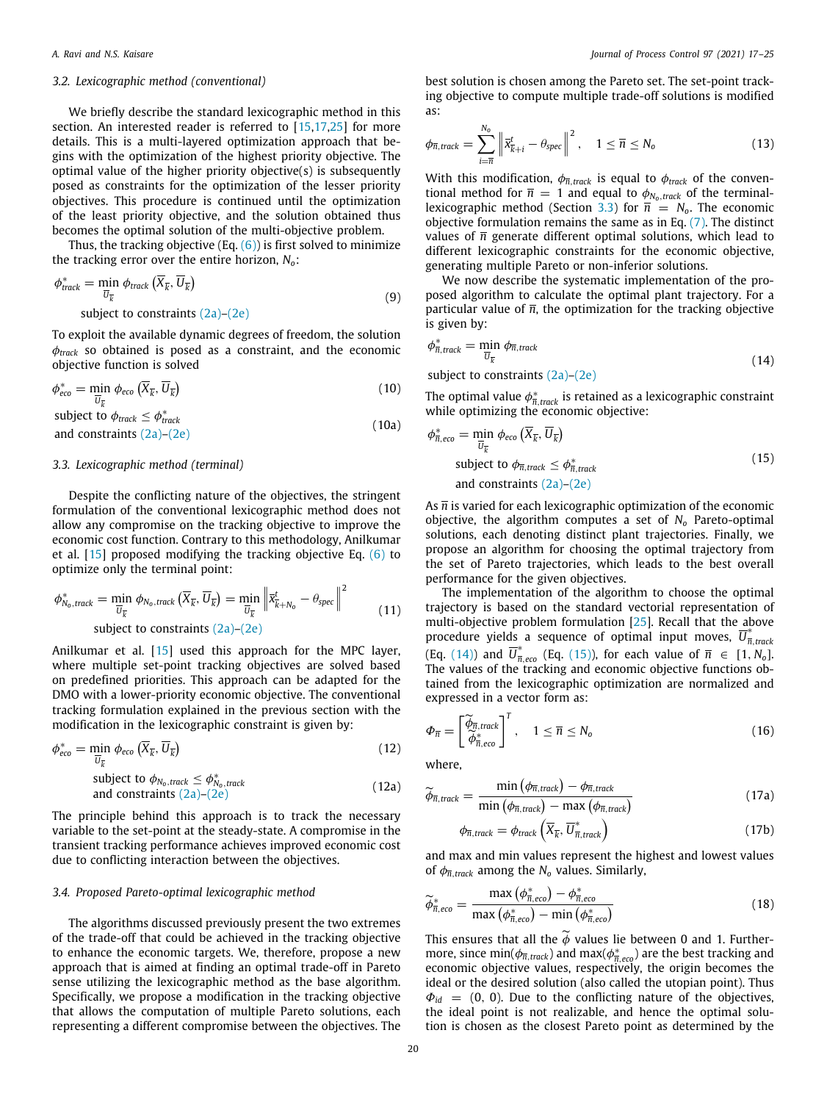#### *3.2. Lexicographic method (conventional)*

<span id="page-3-0"></span>We briefly describe the standard lexicographic method in this section.An interested reader is referred to [[15](#page-8-13)[,17,](#page-8-15)[25](#page-8-23)] for more details. This is a multi-layered optimization approach that begins with the optimization of the highest priority objective. The optimal value of the higher priority objective(s) is subsequently posed as constraints for the optimization of the lesser priority objectives. This procedure is continued until the optimization of the least priority objective, and the solution obtained thus becomes the optimal solution of the multi-objective problem.

Thus, the tracking objective (Eq.  $(6)$  $(6)$ ) is first solved to minimize the tracking error over the entire horizon, *No*:

$$
\phi_{\text{track}}^* = \min_{\overline{U}_{\overline{k}}} \phi_{\text{track}}\left(\overline{X}_{\overline{k}}, \overline{U}_{\overline{k}}\right)
$$
  
subject to constraints (2a)-(2e) (9)

To exploit the available dynamic degrees of freedom, the solution φ*track* so obtained is posed as a constraint, and the economic objective function is solved

$$
\phi_{eco}^* = \min_{\overline{U}_{\overline{k}}} \phi_{eco} \left( \overline{X}_{\overline{k}}, \overline{U}_{\overline{k}} \right) \tag{10}
$$

subject to  $\phi_{\text{track}} \leq \phi_{\text{track}}^*$ and constraints  $(2a)$ – $(2e)$  $(2e)$  (10a)

#### *3.3. Lexicographic method (terminal)*

<span id="page-3-1"></span>Despite the conflicting nature of the objectives, the stringent formulation of the conventional lexicographic method does not allow any compromise on the tracking objective to improve the economic cost function. Contrary to this methodology, Anilkumar et al.[[15\]](#page-8-13) proposed modifying the tracking objective Eq. [\(6](#page-2-3)) to optimize only the terminal point:

$$
\phi_{N_0, track}^* = \min_{\overline{U}_{\overline{k}}} \phi_{N_0, track} (\overline{X}_{\overline{k}}, \overline{U}_{\overline{k}}) = \min_{\overline{U}_{\overline{k}}} \left\| \overline{x}_{\overline{k}+N_0}^t - \theta_{spec} \right\|^2
$$
\nsubject to constraints (2a)-(2e) (11)

Anilkumar et al.[[15\]](#page-8-13) used this approach for the MPC layer, where multiple set-point tracking objectives are solved based on predefined priorities. This approach can be adapted for the DMO with a lower-priority economic objective. The conventional tracking formulation explained in the previous section with the modification in the lexicographic constraint is given by:

$$
\phi_{eco}^* = \min_{\overline{U}_{\overline{k}}} \phi_{eco} \left( \overline{X}_{\overline{k}}, \overline{U}_{\overline{k}} \right) \tag{12}
$$

subject to 
$$
\phi_{N_0, track} \leq \phi_{N_0, track}^*
$$
  
and constraints (2a)–(2e) (12a)

The principle behind this approach is to track the necessary variable to the set-point at the steady-state. A compromise in the transient tracking performance achieves improved economic cost due to conflicting interaction between the objectives.

#### *3.4. Proposed Pareto-optimal lexicographic method*

<span id="page-3-2"></span>The algorithms discussed previously present the two extremes of the trade-off that could be achieved in the tracking objective to enhance the economic targets. We, therefore, propose a new approach that is aimed at finding an optimal trade-off in Pareto sense utilizing the lexicographic method as the base algorithm. Specifically, we propose a modification in the tracking objective that allows the computation of multiple Pareto solutions, each representing a different compromise between the objectives. The

best solution is chosen among the Pareto set. The set-point tracking objective to compute multiple trade-off solutions is modified as:

$$
\phi_{\overline{n},track} = \sum_{i=\overline{n}}^{N_o} \left\| \overline{x}_{k+i}^t - \theta_{spec} \right\|^2, \quad 1 \leq \overline{n} \leq N_o \tag{13}
$$

With this modification,  $\phi_{\overline{n},track}$  is equal to  $\phi_{track}$  of the conventional method for  $\bar{n} = 1$  and equal to  $\phi_{N_0, track}$  of the terminal-lexicographic method (Section [3.3](#page-3-1)) for  $\bar{n} = N_0$ . The economic objective formulation remains the same as in Eq. [\(7\)](#page-2-4). The distinct values of  $\bar{n}$  generate different optimal solutions, which lead to different lexicographic constraints for the economic objective, generating multiple Pareto or non-inferior solutions.

We now describe the systematic implementation of the proposed algorithm to calculate the optimal plant trajectory. For a particular value of  $\bar{n}$ , the optimization for the tracking objective is given by:

<span id="page-3-3"></span>
$$
\phi_{\overline{n},\text{track}}^* = \min_{\overline{U}_{\overline{k}}} \phi_{\overline{n},\text{track}}
$$
\n
$$
\text{subject to constraints (2a)-(2e)} \tag{14}
$$

The optimal value  $\phi^*_{\overline{n},\text{track}}$  is retained as a lexicographic constraint while optimizing the economic objective:

<span id="page-3-4"></span>
$$
\phi_{\overline{n},eco}^* = \min_{\overline{U}_{\overline{k}}} \phi_{eco} (\overline{X}_{\overline{k}}, \overline{U}_{\overline{k}})
$$
\nsubject to  $\phi_{\overline{n},track} \leq \phi_{\overline{n},track}^*$   
\nand constraints (2a)-(2e)

As  $\overline{n}$  is varied for each lexicographic optimization of the economic objective, the algorithm computes a set of *N<sup>o</sup>* Pareto-optimal solutions, each denoting distinct plant trajectories. Finally, we propose an algorithm for choosing the optimal trajectory from the set of Pareto trajectories, which leads to the best overall performance for the given objectives.

The implementation of the algorithm to choose the optimal trajectory is based on the standard vectorial representation of multi-objective problem formulation [\[25](#page-8-23)]. Recall that the above procedure yields a sequence of optimal input moves,  $\overline{U}_n^*$ *n*,*track* (Eq. [\(14\)](#page-3-3)) and  $\overline{U}^*_{\overline{n},\text{eco}}$  (Eq. [\(15\)](#page-3-4)), for each value of  $\overline{n} \in [1, N_0]$ . The values of the tracking and economic objective functions obtained from the lexicographic optimization are normalized and expressed in a vector form as:

$$
\Phi_{\overline{n}} = \begin{bmatrix} \widetilde{\phi}_{\overline{n},\text{track}} \\ \widetilde{\phi}_{\overline{n},\text{eco}}^* \end{bmatrix}^T, \quad 1 \leq \overline{n} \leq N_o \tag{16}
$$

where,

$$
\widetilde{\phi}_{\overline{n},track} = \frac{\min\left(\phi_{\overline{n},track}\right) - \phi_{\overline{n},track}}{\min\left(\phi_{\overline{n},track}\right) - \max\left(\phi_{\overline{n},track}\right)} \tag{17a}
$$

$$
\phi_{\overline{n},track} = \phi_{track}\left(\overline{X}_{\overline{k}}, \overline{U}_{\overline{n},track}^*\right)
$$
\n(17b)

and max and min values represent the highest and lowest values of  $\phi_{\overline{n} \text{ track}}$  among the  $N_o$  values. Similarly,

$$
\widetilde{\phi}_{\overline{n},eco}^* = \frac{\max\left(\phi_{\overline{n},eco}^*\right) - \phi_{\overline{n},eco}^*}{\max\left(\phi_{\overline{n},eco}^*\right) - \min\left(\phi_{\overline{n},eco}^*\right)}\tag{18}
$$

This ensures that all the  $\ddot{\phi}$  values lie between 0 and 1. Furthermore, since  $\min(\phi_{\overline{n},\text{track}})$  and  $\max(\phi_{\overline{n},\text{ecc}}^*)$  are the best tracking and economic objective values, respectively, the origin becomes the ideal or the desired solution (also called the utopian point). Thus  $\Phi_{id}$  = (0, 0). Due to the conflicting nature of the objectives, the ideal point is not realizable, and hence the optimal solution is chosen as the closest Pareto point as determined by the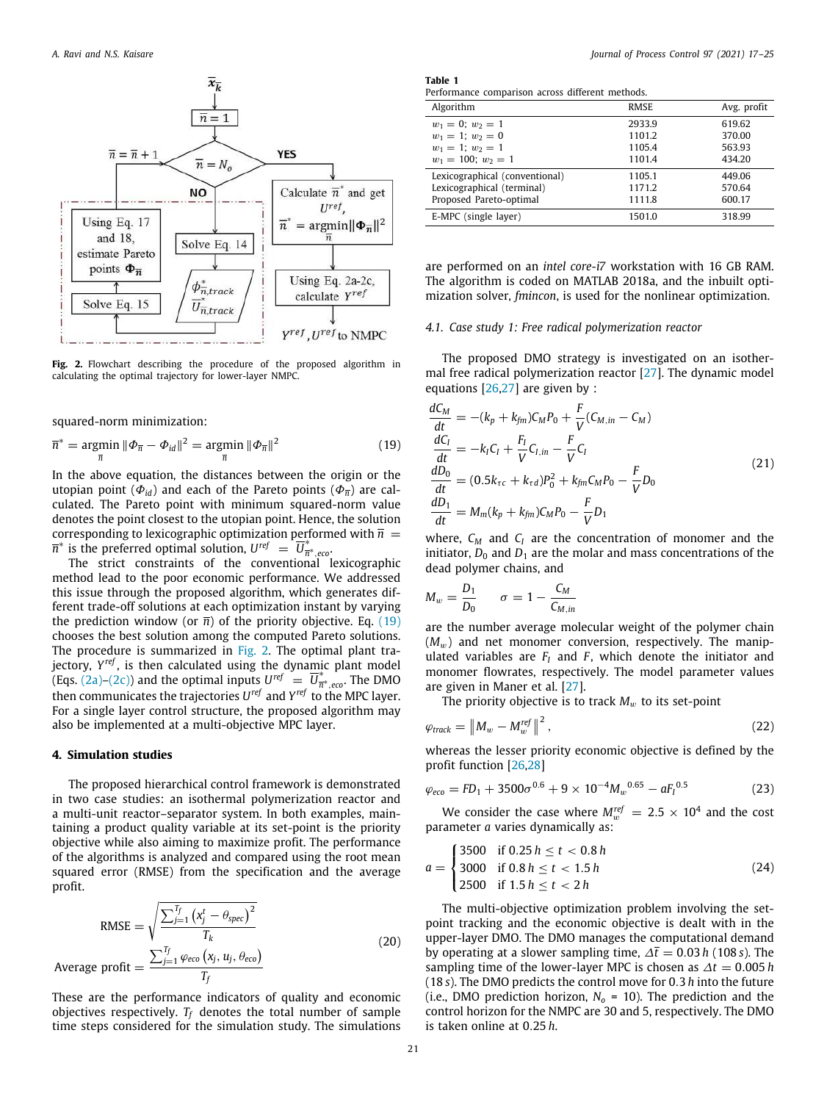

<span id="page-4-1"></span>**Fig. 2.** Flowchart describing the procedure of the proposed algorithm in calculating the optimal trajectory for lower-layer NMPC.

squared-norm minimization:

$$
\overline{n}^* = \underset{\overline{n}}{\text{argmin}} \ \|\boldsymbol{\Phi}_{\overline{n}} - \boldsymbol{\Phi}_{id}\|^2 = \underset{\overline{n}}{\text{argmin}} \ \|\boldsymbol{\Phi}_{\overline{n}}\|^2 \tag{19}
$$

In the above equation, the distances between the origin or the utopian point ( $\Phi_{id}$ ) and each of the Pareto points ( $\Phi_{\overline{n}}$ ) are calculated. The Pareto point with minimum squared-norm value denotes the point closest to the utopian point. Hence, the solution corresponding to lexicographic optimization performed with  $\bar{n}$  =  $\overline{n}^*$  is the preferred optimal solution,  $U^{ref} = \overline{U}_{\overline{n}}^*$ *n* ∗ ,*eco*.

The strict constraints of the conventional lexicographic method lead to the poor economic performance. We addressed this issue through the proposed algorithm, which generates different trade-off solutions at each optimization instant by varying the prediction window (or  $\overline{n}$ ) of the priority objective. Eq. [\(19\)](#page-4-0) chooses the best solution among the computed Pareto solutions. The procedure is summarized in [Fig. 2](#page-4-1). The optimal plant trajectory, *Y ref* , is then calculated using the dynamic plant model (Eqs. ([2a\)](#page-1-1)–([2c](#page-1-3))) and the optimal inputs  $U^{ref} = \overline{U}_{\overline{n}}^*$ *n* ∗ ,*eco*. The DMO then communicates the trajectories *U ref* and *Y ref* to the MPC layer. For a single layer control structure, the proposed algorithm may also be implemented at a multi-objective MPC layer.

#### **4. Simulation studies**

The proposed hierarchical control framework is demonstrated in two case studies: an isothermal polymerization reactor and a multi-unit reactor–separator system. In both examples, maintaining a product quality variable at its set-point is the priority objective while also aiming to maximize profit. The performance of the algorithms is analyzed and compared using the root mean squared error (RMSE) from the specification and the average profit.

RMSE = 
$$
\sqrt{\frac{\sum_{j=1}^{T_f} (x_j^t - \theta_{spec})^2}{T_k}}
$$
  
Average profit =  $\frac{\sum_{j=1}^{T_f} \varphi_{eco}(x_j, u_j, \theta_{eco})}{T_f}$  (20)

These are the performance indicators of quality and economic objectives respectively.  $T_f$  denotes the total number of sample time steps considered for the simulation study. The simulations

<span id="page-4-2"></span>**Table 1**

|  | Performance comparison across different methods. |  |  |
|--|--------------------------------------------------|--|--|
|  |                                                  |  |  |

| Algorithm                      | <b>RMSE</b> | Avg. profit |
|--------------------------------|-------------|-------------|
| $w_1 = 0$ ; $w_2 = 1$          | 2933.9      | 619.62      |
| $w_1 = 1$ ; $w_2 = 0$          | 1101.2      | 370.00      |
| $w_1 = 1$ ; $w_2 = 1$          | 1105.4      | 563.93      |
| $w_1 = 100$ ; $w_2 = 1$        | 1101.4      | 434.20      |
| Lexicographical (conventional) | 1105.1      | 449.06      |
| Lexicographical (terminal)     | 1171.2      | 570.64      |
| Proposed Pareto-optimal        | 1111.8      | 600.17      |
| E-MPC (single layer)           | 1501.0      | 318.99      |

are performed on an *intel core-i7* workstation with 16 GB RAM. The algorithm is coded on MATLAB 2018a, and the inbuilt optimization solver, *fmincon*, is used for the nonlinear optimization.

# *4.1. Case study 1: Free radical polymerization reactor*

The proposed DMO strategy is investigated on an isothermal free radical polymerization reactor[[27](#page-8-25)]. The dynamic model equations[[26](#page-8-24)[,27\]](#page-8-25) are given by :

<span id="page-4-0"></span>
$$
\frac{dC_M}{dt} = -(k_p + k_{fm})C_M P_0 + \frac{F}{V}(C_{M,in} - C_M)
$$
\n
$$
\frac{dC_I}{dt} = -k_I C_I + \frac{F_I}{V}C_{I,in} - \frac{F}{V}C_I
$$
\n
$$
\frac{dD_0}{dt} = (0.5k_{rc} + k_{rd})P_0^2 + k_{fm}C_M P_0 - \frac{F}{V}D_0
$$
\n
$$
\frac{dD_1}{dt} = M_m(k_p + k_{fm})C_M P_0 - \frac{F}{V}D_1
$$
\n(21)

where, *C<sup>M</sup>* and *C<sup>I</sup>* are the concentration of monomer and the initiator,  $D_0$  and  $D_1$  are the molar and mass concentrations of the dead polymer chains, and

$$
M_w = \frac{D_1}{D_0} \qquad \sigma = 1 - \frac{C_M}{C_{M,in}}
$$

are the number average molecular weight of the polymer chain  $(M_w)$  and net monomer conversion, respectively. The manipulated variables are  $F_I$  and  $F$ , which denote the initiator and monomer flowrates, respectively. The model parameter values are given in Maner et al.[[27](#page-8-25)].

The priority objective is to track  $M_w$  to its set-point

$$
\varphi_{\text{track}} = \left\| M_w - M_w^{\text{ref}} \right\|^2, \tag{22}
$$

whereas the lesser priority economic objective is defined by the profit function[[26](#page-8-24)[,28\]](#page-8-26)

$$
\varphi_{eco} = FD_1 + 3500\sigma^{0.6} + 9 \times 10^{-4} M_w^{0.65} - aF_l^{0.5}
$$
 (23)

We consider the case where  $M_w^{ref} = 2.5 \times 10^4$  and the cost parameter *a* varies dynamically as:

<span id="page-4-3"></span>
$$
a = \begin{cases} 3500 & \text{if } 0.25 \, h \le t < 0.8 \, h \\ 3000 & \text{if } 0.8 \, h \le t < 1.5 \, h \\ 2500 & \text{if } 1.5 \, h \le t < 2 \, h \end{cases} \tag{24}
$$

The multi-objective optimization problem involving the setpoint tracking and the economic objective is dealt with in the upper-layer DMO. The DMO manages the computational demand by operating at a slower sampling time,  $\Delta \bar{t} = 0.03 h$  (108 *s*). The sampling time of the lower-layer MPC is chosen as ∆*t* = 0.005 *h* (18 *s*). The DMO predicts the control move for 0.3 *h* into the future (i.e., DMO prediction horizon,  $N_0 = 10$ ). The prediction and the control horizon for the NMPC are 30 and 5, respectively. The DMO is taken online at 0.25 *h*.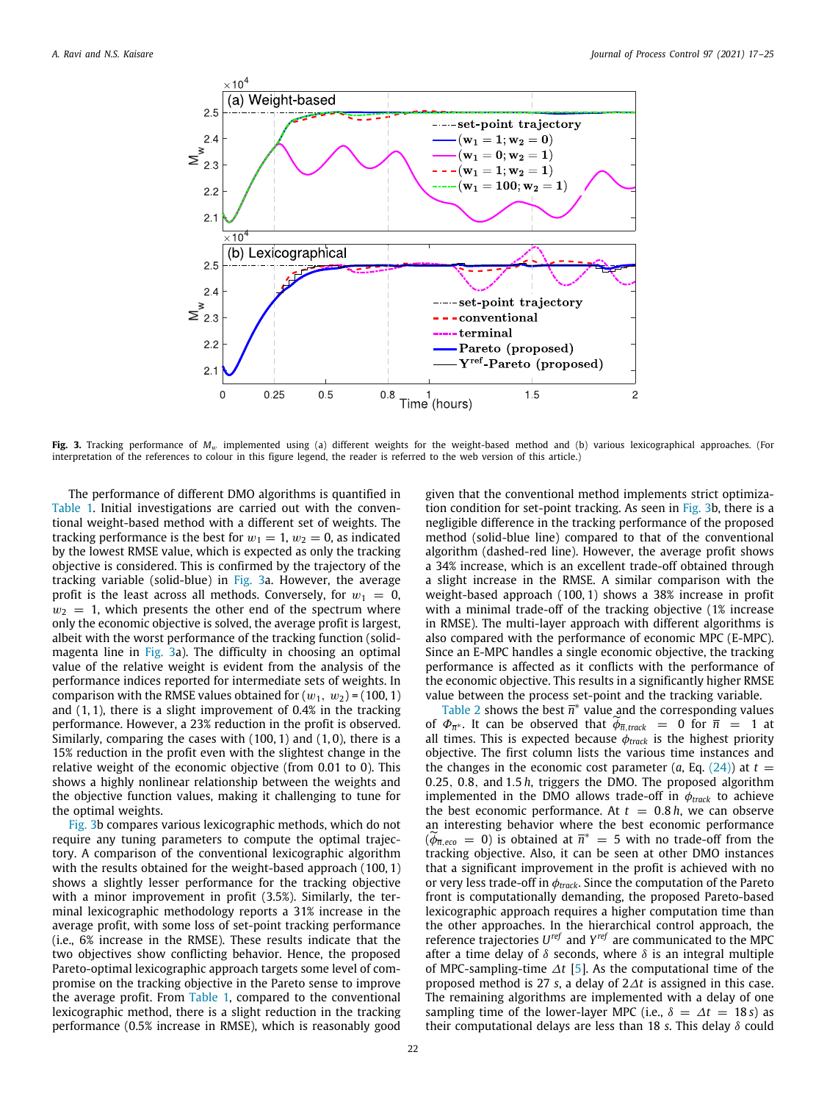

<span id="page-5-0"></span>**Fig. 3.** Tracking performance of *M<sub>w</sub>* implemented using (a) different weights for the weight-based method and (b) various lexicographical approaches. (For interpretation of the references to colour in this figure legend, the reader is referred to the web version of this article.)

The performance of different DMO algorithms is quantified in [Table 1.](#page-4-2) Initial investigations are carried out with the conventional weight-based method with a different set of weights. The tracking performance is the best for  $w_1 = 1$ ,  $w_2 = 0$ , as indicated by the lowest RMSE value, which is expected as only the tracking objective is considered. This is confirmed by the trajectory of the tracking variable (solid-blue) in [Fig. 3a](#page-5-0). However, the average profit is the least across all methods. Conversely, for  $w_1 = 0$ ,  $w_2 = 1$ , which presents the other end of the spectrum where only the economic objective is solved, the average profit is largest, albeit with the worst performance of the tracking function (solidmagenta line in [Fig. 3](#page-5-0)a). The difficulty in choosing an optimal value of the relative weight is evident from the analysis of the performance indices reported for intermediate sets of weights. In comparison with the RMSE values obtained for  $(w_1, w_2)$  = (100, 1) and (1, 1), there is a slight improvement of 0.4% in the tracking performance. However, a 23% reduction in the profit is observed. Similarly, comparing the cases with  $(100, 1)$  and  $(1, 0)$ , there is a 15% reduction in the profit even with the slightest change in the relative weight of the economic objective (from 0.01 to 0). This shows a highly nonlinear relationship between the weights and the objective function values, making it challenging to tune for the optimal weights.

[Fig. 3b](#page-5-0) compares various lexicographic methods, which do not require any tuning parameters to compute the optimal trajectory. A comparison of the conventional lexicographic algorithm with the results obtained for the weight-based approach (100, 1) shows a slightly lesser performance for the tracking objective with a minor improvement in profit (3.5%). Similarly, the terminal lexicographic methodology reports a 31% increase in the average profit, with some loss of set-point tracking performance (i.e., 6% increase in the RMSE). These results indicate that the two objectives show conflicting behavior. Hence, the proposed Pareto-optimal lexicographic approach targets some level of compromise on the tracking objective in the Pareto sense to improve the average profit. From [Table 1](#page-4-2), compared to the conventional lexicographic method, there is a slight reduction in the tracking performance (0.5% increase in RMSE), which is reasonably good

given that the conventional method implements strict optimization condition for set-point tracking. As seen in [Fig. 3](#page-5-0)b, there is a negligible difference in the tracking performance of the proposed method (solid-blue line) compared to that of the conventional algorithm (dashed-red line). However, the average profit shows a 34% increase, which is an excellent trade-off obtained through a slight increase in the RMSE. A similar comparison with the weight-based approach (100, 1) shows a 38% increase in profit with a minimal trade-off of the tracking objective (1% increase in RMSE). The multi-layer approach with different algorithms is also compared with the performance of economic MPC (E-MPC). Since an E-MPC handles a single economic objective, the tracking performance is affected as it conflicts with the performance of the economic objective. This results in a significantly higher RMSE value between the process set-point and the tracking variable.

[Table 2](#page-6-0) shows the best  $\overline{n}^*$  value and the corresponding values of  $\Phi_{\overline{n}}$ <sup>\*</sup>. It can be observed that  $\phi_{\overline{n}, track} = 0$  for  $\overline{n} = 1$  at all times. This is expected because  $\phi_{track}$  is the highest priority objective. The first column lists the various time instances and the changes in the economic cost parameter  $(a, Eq. (24))$  $(a, Eq. (24))$  $(a, Eq. (24))$  at  $t =$ 0.25, 0.8, and 1.5 *h*, triggers the DMO. The proposed algorithm implemented in the DMO allows trade-off in  $\phi_{track}$  to achieve the best economic performance. At  $t = 0.8 h$ , we can observe an interesting behavior where the best economic performance  $({\widetilde{\phi}_{\overline{n}},e^{\circ}_{\overline{n}}})$  = 0) is obtained at  $\overline{n}^*$  = 5 with no trade-off from the tracking objective. Also, it can be seen at other DMO instances that a significant improvement in the profit is achieved with no or very less trade-off in φ*track*. Since the computation of the Pareto front is computationally demanding, the proposed Pareto-based lexicographic approach requires a higher computation time than the other approaches. In the hierarchical control approach, the reference trajectories *U ref* and *Y ref* are communicated to the MPC after a time delay of  $\delta$  seconds, where  $\delta$  is an integral multiple of MPC-sampling-time ∆*t* [\[5](#page-8-4)]. As the computational time of the proposed method is 27 *s*, a delay of 2∆*t* is assigned in this case. The remaining algorithms are implemented with a delay of one sampling time of the lower-layer MPC (i.e.,  $\delta = \Delta t = 18$  *s*) as their computational delays are less than 18 *s*. This delay δ could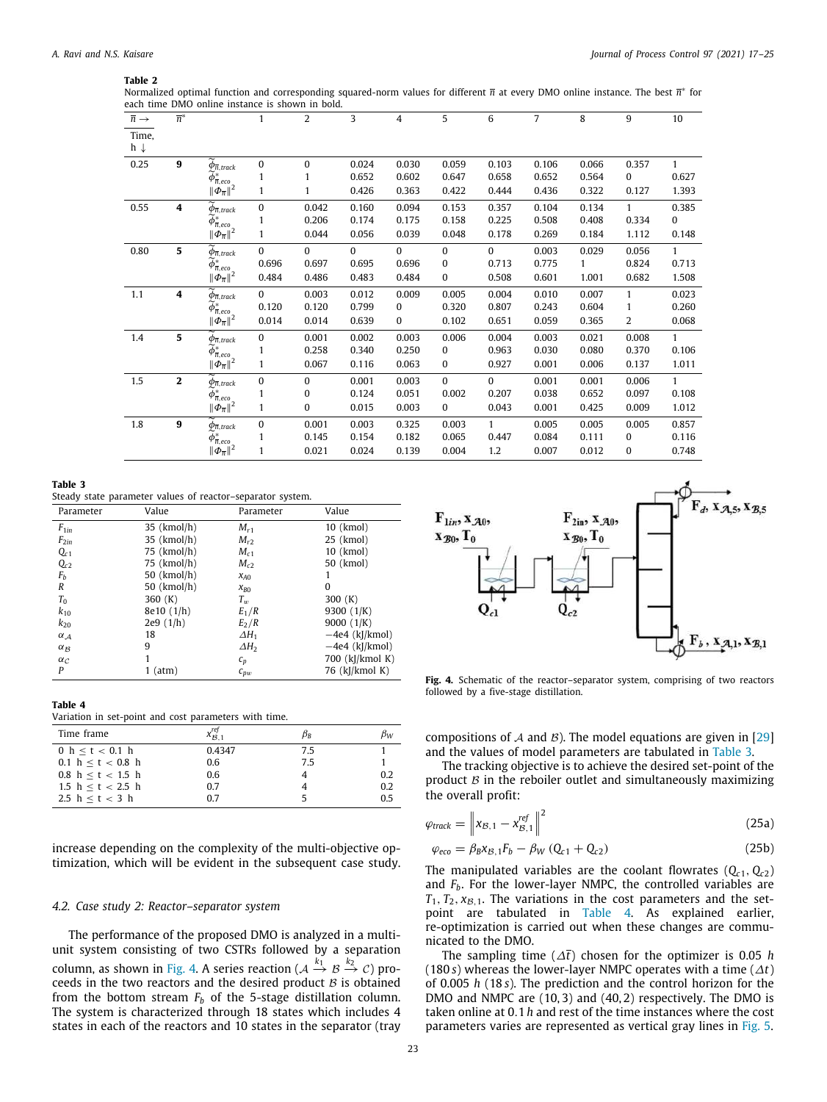#### **Table 2**

<span id="page-6-0"></span>Normalized optimal function and corresponding squared-norm values for different *π* at every DMO online instance. The best *π*<sup>\*</sup> for each time DMO online instance is shown in bold.

| $\overline{n} \rightarrow$ | $\overline{n}^*$ |                                                | $\mathbf{1}$ | 2            | 3        | 4            | 5            | 6            | $\overline{7}$ | 8     | 9            | 10           |
|----------------------------|------------------|------------------------------------------------|--------------|--------------|----------|--------------|--------------|--------------|----------------|-------|--------------|--------------|
| Time,                      |                  |                                                |              |              |          |              |              |              |                |       |              |              |
| $h \downarrow$             |                  |                                                |              |              |          |              |              |              |                |       |              |              |
| 0.25                       | 9                | $\widetilde{\phi}_{\overline{n},\text{track}}$ | 0            | 0            | 0.024    | 0.030        | 0.059        | 0.103        | 0.106          | 0.066 | 0.357        | 1            |
|                            |                  | $\phi_{\overline{n},\text{eco}}^*$             | 1            | 1            | 0.652    | 0.602        | 0.647        | 0.658        | 0.652          | 0.564 | 0            | 0.627        |
|                            |                  | $\ \phi_{\overline{n}}\ ^2$                    | 1            | 1            | 0.426    | 0.363        | 0.422        | 0.444        | 0.436          | 0.322 | 0.127        | 1.393        |
| 0.55                       | 4                | $\widetilde{\phi}_{\overline{n},track}$        | $\pmb{0}$    | 0.042        | 0.160    | 0.094        | 0.153        | 0.357        | 0.104          | 0.134 | $\mathbf{1}$ | 0.385        |
|                            |                  | $\widetilde{\phi}_{\overline{n},eco}^*$        | 1            | 0.206        | 0.174    | 0.175        | 0.158        | 0.225        | 0.508          | 0.408 | 0.334        | 0            |
|                            |                  | $\ \phi_{\overline{n}}\ ^2$                    | 1            | 0.044        | 0.056    | 0.039        | 0.048        | 0.178        | 0.269          | 0.184 | 1.112        | 0.148        |
| 0.80                       | 5                | $\widetilde{\phi}_{\overline{n},track}$        | $\bf{0}$     | $\mathbf{0}$ | $\Omega$ | $\Omega$     | $\mathbf{0}$ | $\Omega$     | 0.003          | 0.029 | 0.056        | $\mathbf{1}$ |
|                            |                  | $\widetilde{\phi}_{\overline{n},\text{eco}}^*$ | 0.696        | 0.697        | 0.695    | 0.696        | $\mathbf{0}$ | 0.713        | 0.775          | 1     | 0.824        | 0.713        |
|                            |                  | $\ \phi_{\overline{n}}\ ^2$                    | 0.484        | 0.486        | 0.483    | 0.484        | $\mathbf{0}$ | 0.508        | 0.601          | 1.001 | 0.682        | 1.508        |
| 1.1                        | 4                | $\widetilde{\phi}_{\overline{n},\text{track}}$ | $\Omega$     | 0.003        | 0.012    | 0.009        | 0.005        | 0.004        | 0.010          | 0.007 | $\mathbf{1}$ | 0.023        |
|                            |                  | $\phi^*_{\overline{n},eco}$                    | 0.120        | 0.120        | 0.799    | 0            | 0.320        | 0.807        | 0.243          | 0.604 | 1            | 0.260        |
|                            |                  | $\ \Phi_{\overline{n}}\ ^2$                    | 0.014        | 0.014        | 0.639    | $\mathbf{0}$ | 0.102        | 0.651        | 0.059          | 0.365 | 2            | 0.068        |
| 1.4                        | 5                | $\phi_{\overline{n},\text{track}}$             | $\bf{0}$     | 0.001        | 0.002    | 0.003        | 0.006        | 0.004        | 0.003          | 0.021 | 0.008        | $\mathbf{1}$ |
|                            |                  | $\phi_{\overline{n},eco}^*$                    | 1            | 0.258        | 0.340    | 0.250        | $\bf{0}$     | 0.963        | 0.030          | 0.080 | 0.370        | 0.106        |
|                            |                  | $\ \phi_{\overline{n}}\ ^2$                    | 1            | 0.067        | 0.116    | 0.063        | 0            | 0.927        | 0.001          | 0.006 | 0.137        | 1.011        |
| 1.5                        | $\mathbf{2}$     | $\widetilde{\phi}_{\overline{n},\text{track}}$ | 0            | $\mathbf{0}$ | 0.001    | 0.003        | $\mathbf{0}$ | $\Omega$     | 0.001          | 0.001 | 0.006        | $\mathbf{1}$ |
|                            |                  | $\tilde{\phi}^*_{\overline{n},eco}$            | $\mathbf{1}$ | 0            | 0.124    | 0.051        | 0.002        | 0.207        | 0.038          | 0.652 | 0.097        | 0.108        |
|                            |                  | $\ \phi_{\overline{n}}\ ^2$                    | 1            | $\mathbf{0}$ | 0.015    | 0.003        | $\mathbf{0}$ | 0.043        | 0.001          | 0.425 | 0.009        | 1.012        |
| 1.8                        | $\boldsymbol{9}$ | $\widetilde{\phi}_{\overline{n},\text{track}}$ | 0            | 0.001        | 0.003    | 0.325        | 0.003        | $\mathbf{1}$ | 0.005          | 0.005 | 0.005        | 0.857        |
|                            |                  | $\widetilde{\phi}_{\overline{n},\text{eco}}^*$ | 1            | 0.145        | 0.154    | 0.182        | 0.065        | 0.447        | 0.084          | 0.111 | 0            | 0.116        |
|                            |                  | $\ \phi_{\overline{n}}\ ^2$                    | 1            | 0.021        | 0.024    | 0.139        | 0.004        | 1.2          | 0.007          | 0.012 | 0            | 0.748        |

#### **Table 3**

<span id="page-6-2"></span>Steady state parameter values of reactor–separator system.

| Parameter  | Value       | Parameter    | Value            |
|------------|-------------|--------------|------------------|
| $F_{1in}$  | 35 (kmol/h) | $M_{r1}$     | 10 (kmol)        |
| $F_{2in}$  | 35 (kmol/h) | $M_{r2}$     | 25 (kmol)        |
| $Q_{c1}$   | 75 (kmol/h) | $M_{c1}$     | 10 (kmol)        |
| $Q_{c2}$   | 75 (kmol/h) | $M_{c2}$     | 50 (kmol)        |
| $F_b$      | 50 (kmol/h) | $x_{A0}$     |                  |
| R          | 50 (kmol/h) | $x_{B0}$     | 0                |
| $T_0$      | 360 $(K)$   | $T_w$        | 300 $(K)$        |
| $k_{10}$   | 8e10(1/h)   | $E_1/R$      | 9300 $(1/K)$     |
| $k_{20}$   | 2e9(1/h)    | $E_2/R$      | 9000 $(1/K)$     |
| $\alpha_A$ | 18          | $\Delta H_1$ | $-4e4$ (kJ/kmol) |
| $\alpha_B$ | 9           | $\Delta H_2$ | $-4e4$ (kJ/kmol) |
| $\alpha_C$ | 1           | $c_p$        | 700 (kJ/kmol K)  |
| P          | 1 (atm)     | $c_{vw}$     | 76 (kJ/kmol K)   |
|            |             |              |                  |

#### **Table 4**

<span id="page-6-3"></span>Variation in set-point and cost parameters with time.

| Time frame          | $x_{12}$ 1 | $\beta_{\mathsf{B}}$ | рw  |
|---------------------|------------|----------------------|-----|
| 0 $h < t < 0.1$ h   | 0.4347     | 75                   |     |
| 0.1 $h < t < 0.8$ h | 0.6        | 7.5                  |     |
| 0.8 h < t < 1.5 h   | 0.6        |                      | 0.2 |
| 1.5 $h < t < 2.5$ h | 0.7        |                      | 0.2 |
| 2.5 h < t < 3 h     | 0.7        |                      | 0.5 |

increase depending on the complexity of the multi-objective optimization, which will be evident in the subsequent case study.

#### *4.2. Case study 2: Reactor–separator system*

The performance of the proposed DMO is analyzed in a multiunit system consisting of two CSTRs followed by a separation column, as shown in [Fig. 4.](#page-6-1) A series reaction ( $\mathcal{A} \stackrel{k_1}{\rightarrow} \mathcal{B} \stackrel{k_2}{\rightarrow} \mathcal{C}$ ) proceeds in the two reactors and the desired product  $B$  is obtained from the bottom stream  $F_b$  of the 5-stage distillation column. The system is characterized through 18 states which includes 4 states in each of the reactors and 10 states in the separator (tray



<span id="page-6-1"></span>**Fig. 4.** Schematic of the reactor–separator system, comprising of two reactors followed by a five-stage distillation.

compositions of A and B). The model equations are given in [\[29\]](#page-8-27) and the values of model parameters are tabulated in [Table 3.](#page-6-2)

The tracking objective is to achieve the desired set-point of the product  $B$  in the reboiler outlet and simultaneously maximizing the overall profit:

$$
\varphi_{\text{track}} = \left\| x_{\mathcal{B},1} - x_{\mathcal{B},1}^{\text{ref}} \right\|^2 \tag{25a}
$$

$$
\varphi_{eco} = \beta_B x_{B,1} F_b - \beta_W (Q_{c1} + Q_{c2})
$$
\n(25b)

The manipulated variables are the coolant flowrates  $(Q_{c1}, Q_{c2})$ and *Fb*. For the lower-layer NMPC, the controlled variables are  $T_1, T_2, x_{\mathcal{B},1}$ . The variations in the cost parameters and the setpoint are tabulated in [Table 4](#page-6-3). As explained earlier, re-optimization is carried out when these changes are communicated to the DMO.

The sampling time (∆*t*) chosen for the optimizer is 0.05 *h* (180 *s*) whereas the lower-layer NMPC operates with a time ( $\Delta t$ ) of 0.005 *h* (18 *s*). The prediction and the control horizon for the DMO and NMPC are (10, 3) and (40, 2) respectively. The DMO is taken online at 0.1 *h* and rest of the time instances where the cost parameters varies are represented as vertical gray lines in [Fig. 5](#page-7-0).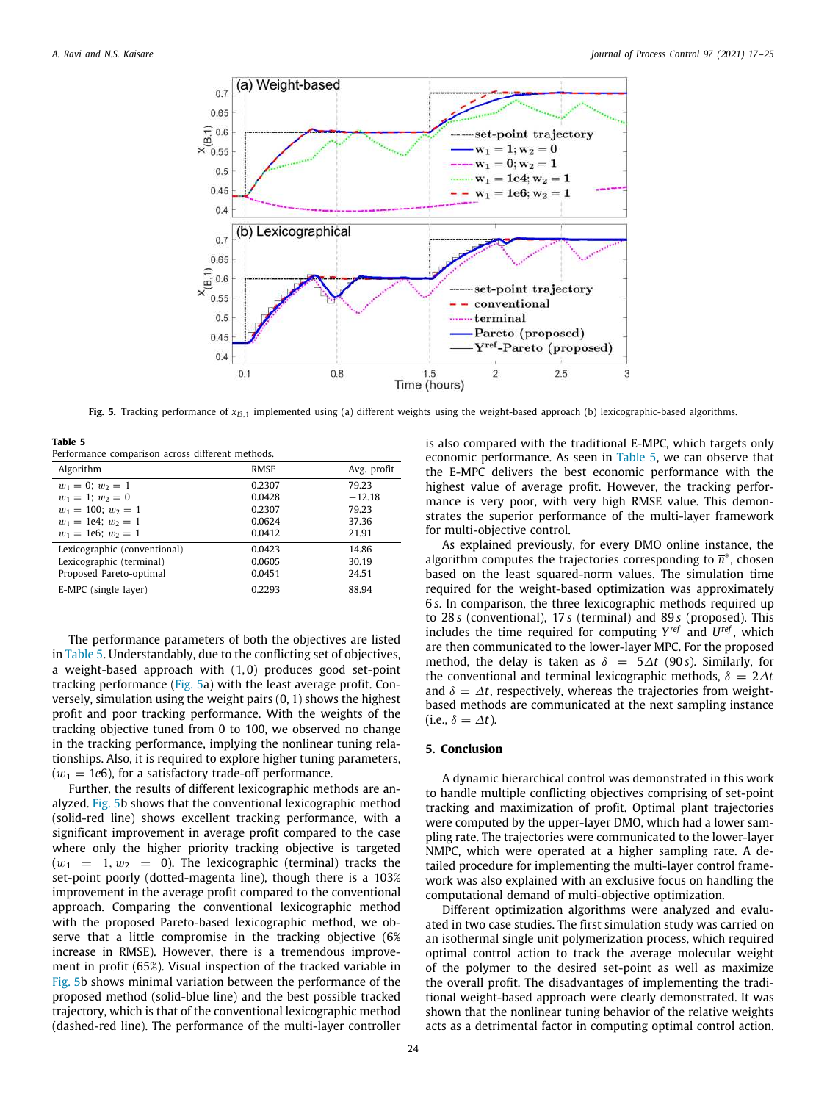

**Fig. 5.** Tracking performance of  $x_{B,1}$  implemented using (a) different weights using the weight-based approach (b) lexicographic-based algorithms.

<span id="page-7-0"></span>**Table 5**

<span id="page-7-1"></span>

| Performance comparison across different methods. |             |             |  |  |
|--------------------------------------------------|-------------|-------------|--|--|
| Algorithm                                        | <b>RMSE</b> | Avg. profit |  |  |
| $w_1 = 0$ ; $w_2 = 1$                            | 0.2307      | 79.23       |  |  |
| $w_1 = 1$ ; $w_2 = 0$                            | 0.0428      | $-12.18$    |  |  |
| $w_1 = 100$ ; $w_2 = 1$                          | 0.2307      | 79.23       |  |  |
| $w_1 = 1e4$ ; $w_2 = 1$                          | 0.0624      | 37.36       |  |  |
| $w_1 = 1e6$ ; $w_2 = 1$                          | 0.0412      | 21.91       |  |  |
| Lexicographic (conventional)                     | 0.0423      | 14.86       |  |  |
| Lexicographic (terminal)                         | 0.0605      | 30.19       |  |  |
| Proposed Pareto-optimal                          | 0.0451      | 24.51       |  |  |
| E-MPC (single layer)                             | 0.2293      | 88.94       |  |  |
|                                                  |             |             |  |  |

The performance parameters of both the objectives are listed in [Table 5](#page-7-1). Understandably, due to the conflicting set of objectives, a weight-based approach with (1, 0) produces good set-point tracking performance [\(Fig. 5a](#page-7-0)) with the least average profit. Conversely, simulation using the weight pairs (0, 1) shows the highest profit and poor tracking performance. With the weights of the tracking objective tuned from 0 to 100, we observed no change in the tracking performance, implying the nonlinear tuning relationships. Also, it is required to explore higher tuning parameters,  $(w_1 = 1e6)$ , for a satisfactory trade-off performance.

Further, the results of different lexicographic methods are analyzed. [Fig. 5b](#page-7-0) shows that the conventional lexicographic method (solid-red line) shows excellent tracking performance, with a significant improvement in average profit compared to the case where only the higher priority tracking objective is targeted  $(w_1 = 1, w_2 = 0)$ . The lexicographic (terminal) tracks the set-point poorly (dotted-magenta line), though there is a 103% improvement in the average profit compared to the conventional approach. Comparing the conventional lexicographic method with the proposed Pareto-based lexicographic method, we observe that a little compromise in the tracking objective (6% increase in RMSE). However, there is a tremendous improvement in profit (65%). Visual inspection of the tracked variable in [Fig. 5](#page-7-0)b shows minimal variation between the performance of the proposed method (solid-blue line) and the best possible tracked trajectory, which is that of the conventional lexicographic method (dashed-red line). The performance of the multi-layer controller

is also compared with the traditional E-MPC, which targets only economic performance. As seen in [Table 5,](#page-7-1) we can observe that the E-MPC delivers the best economic performance with the highest value of average profit. However, the tracking performance is very poor, with very high RMSE value. This demonstrates the superior performance of the multi-layer framework for multi-objective control.

As explained previously, for every DMO online instance, the algorithm computes the trajectories corresponding to  $\overline{n}^*$ , chosen based on the least squared-norm values. The simulation time required for the weight-based optimization was approximately 6 *s*. In comparison, the three lexicographic methods required up to 28 *s* (conventional), 17 *s* (terminal) and 89 *s* (proposed). This includes the time required for computing  $Y^{ref}$  and  $U^{ref}$ , which are then communicated to the lower-layer MPC. For the proposed method, the delay is taken as  $\delta = 5\Delta t$  (90 *s*). Similarly, for the conventional and terminal lexicographic methods,  $\delta = 2\Delta t$ and  $\delta = \Delta t$ , respectively, whereas the trajectories from weightbased methods are communicated at the next sampling instance (i.e.,  $\delta = \Delta t$ ).

# **5. Conclusion**

A dynamic hierarchical control was demonstrated in this work to handle multiple conflicting objectives comprising of set-point tracking and maximization of profit. Optimal plant trajectories were computed by the upper-layer DMO, which had a lower sampling rate. The trajectories were communicated to the lower-layer NMPC, which were operated at a higher sampling rate. A detailed procedure for implementing the multi-layer control framework was also explained with an exclusive focus on handling the computational demand of multi-objective optimization.

Different optimization algorithms were analyzed and evaluated in two case studies. The first simulation study was carried on an isothermal single unit polymerization process, which required optimal control action to track the average molecular weight of the polymer to the desired set-point as well as maximize the overall profit. The disadvantages of implementing the traditional weight-based approach were clearly demonstrated. It was shown that the nonlinear tuning behavior of the relative weights acts as a detrimental factor in computing optimal control action.